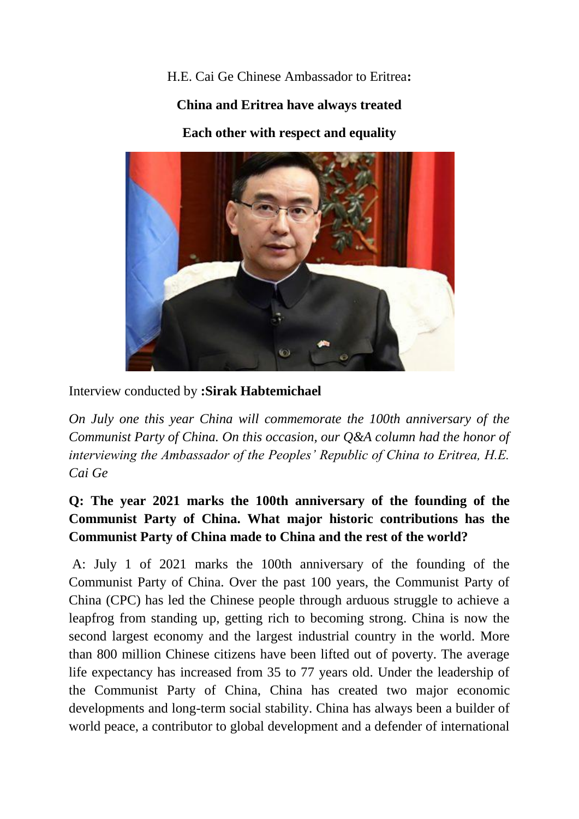H.E. Cai Ge Chinese Ambassador to Eritrea**:**

#### **China and Eritrea have always treated**

**Each other with respect and equality**



Interview conducted by **:Sirak Habtemichael**

*On July one this year China will commemorate the 100th anniversary of the Communist Party of China. On this occasion, our Q&A column had the honor of interviewing the Ambassador of the Peoples' Republic of China to Eritrea, H.E. Cai Ge*

# **Q: The year 2021 marks the 100th anniversary of the founding of the Communist Party of China. What major historic contributions has the Communist Party of China made to China and the rest of the world?**

A: July 1 of 2021 marks the 100th anniversary of the founding of the Communist Party of China. Over the past 100 years, the Communist Party of China (CPC) has led the Chinese people through arduous struggle to achieve a leapfrog from standing up, getting rich to becoming strong. China is now the second largest economy and the largest industrial country in the world. More than 800 million Chinese citizens have been lifted out of poverty. The average life expectancy has increased from 35 to 77 years old. Under the leadership of the Communist Party of China, China has created two major economic developments and long-term social stability. China has always been a builder of world peace, a contributor to global development and a defender of international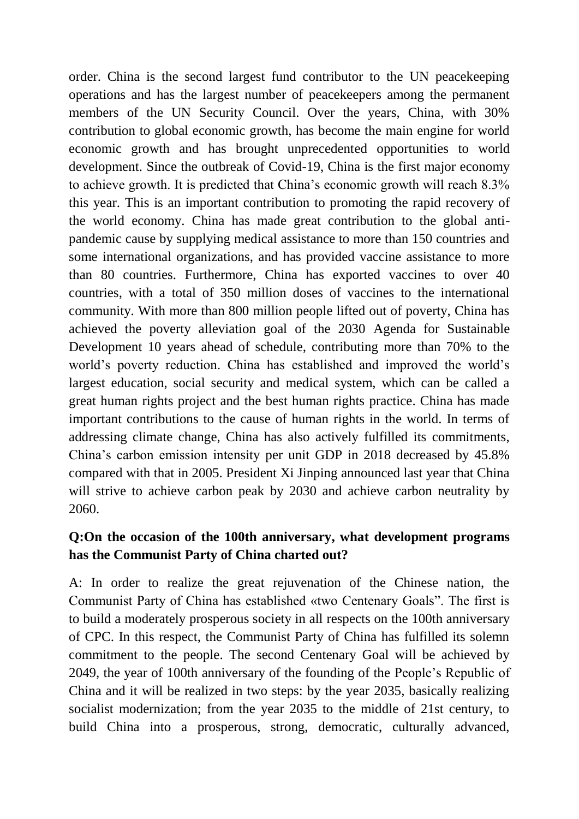order. China is the second largest fund contributor to the UN peacekeeping operations and has the largest number of peacekeepers among the permanent members of the UN Security Council. Over the years, China, with 30% contribution to global economic growth, has become the main engine for world economic growth and has brought unprecedented opportunities to world development. Since the outbreak of Covid-19, China is the first major economy to achieve growth. It is predicted that China's economic growth will reach 8.3% this year. This is an important contribution to promoting the rapid recovery of the world economy. China has made great contribution to the global antipandemic cause by supplying medical assistance to more than 150 countries and some international organizations, and has provided vaccine assistance to more than 80 countries. Furthermore, China has exported vaccines to over 40 countries, with a total of 350 million doses of vaccines to the international community. With more than 800 million people lifted out of poverty, China has achieved the poverty alleviation goal of the 2030 Agenda for Sustainable Development 10 years ahead of schedule, contributing more than 70% to the world's poverty reduction. China has established and improved the world's largest education, social security and medical system, which can be called a great human rights project and the best human rights practice. China has made important contributions to the cause of human rights in the world. In terms of addressing climate change, China has also actively fulfilled its commitments, China's carbon emission intensity per unit GDP in 2018 decreased by 45.8% compared with that in 2005. President Xi Jinping announced last year that China will strive to achieve carbon peak by 2030 and achieve carbon neutrality by 2060.

### **Q:On the occasion of the 100th anniversary, what development programs has the Communist Party of China charted out?**

A: In order to realize the great rejuvenation of the Chinese nation, the Communist Party of China has established «two Centenary Goals". The first is to build a moderately prosperous society in all respects on the 100th anniversary of CPC. In this respect, the Communist Party of China has fulfilled its solemn commitment to the people. The second Centenary Goal will be achieved by 2049, the year of 100th anniversary of the founding of the People's Republic of China and it will be realized in two steps: by the year 2035, basically realizing socialist modernization; from the year 2035 to the middle of 21st century, to build China into a prosperous, strong, democratic, culturally advanced,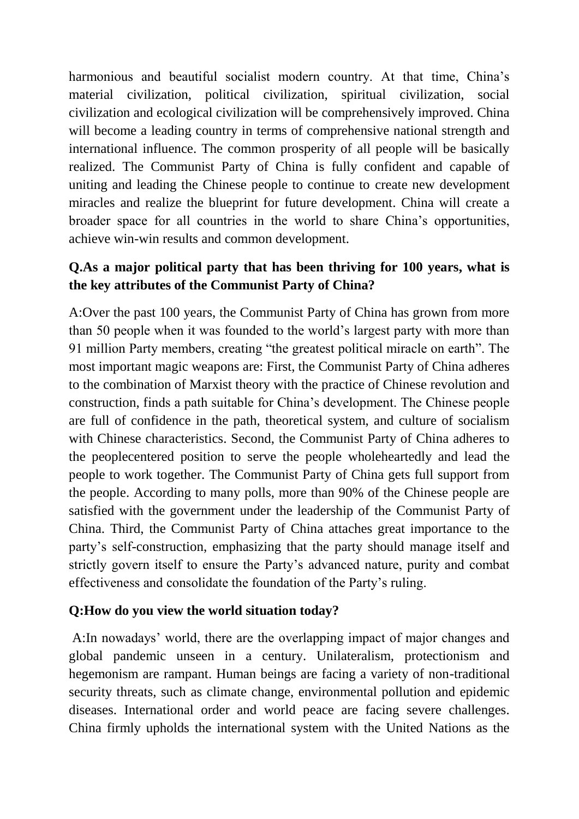harmonious and beautiful socialist modern country. At that time, China's material civilization, political civilization, spiritual civilization, social civilization and ecological civilization will be comprehensively improved. China will become a leading country in terms of comprehensive national strength and international influence. The common prosperity of all people will be basically realized. The Communist Party of China is fully confident and capable of uniting and leading the Chinese people to continue to create new development miracles and realize the blueprint for future development. China will create a broader space for all countries in the world to share China's opportunities, achieve win-win results and common development.

## **Q.As a major political party that has been thriving for 100 years, what is the key attributes of the Communist Party of China?**

A:Over the past 100 years, the Communist Party of China has grown from more than 50 people when it was founded to the world's largest party with more than 91 million Party members, creating "the greatest political miracle on earth". The most important magic weapons are: First, the Communist Party of China adheres to the combination of Marxist theory with the practice of Chinese revolution and construction, finds a path suitable for China's development. The Chinese people are full of confidence in the path, theoretical system, and culture of socialism with Chinese characteristics. Second, the Communist Party of China adheres to the peoplecentered position to serve the people wholeheartedly and lead the people to work together. The Communist Party of China gets full support from the people. According to many polls, more than 90% of the Chinese people are satisfied with the government under the leadership of the Communist Party of China. Third, the Communist Party of China attaches great importance to the party's self-construction, emphasizing that the party should manage itself and strictly govern itself to ensure the Party's advanced nature, purity and combat effectiveness and consolidate the foundation of the Party's ruling.

#### **Q:How do you view the world situation today?**

A:In nowadays' world, there are the overlapping impact of major changes and global pandemic unseen in a century. Unilateralism, protectionism and hegemonism are rampant. Human beings are facing a variety of non-traditional security threats, such as climate change, environmental pollution and epidemic diseases. International order and world peace are facing severe challenges. China firmly upholds the international system with the United Nations as the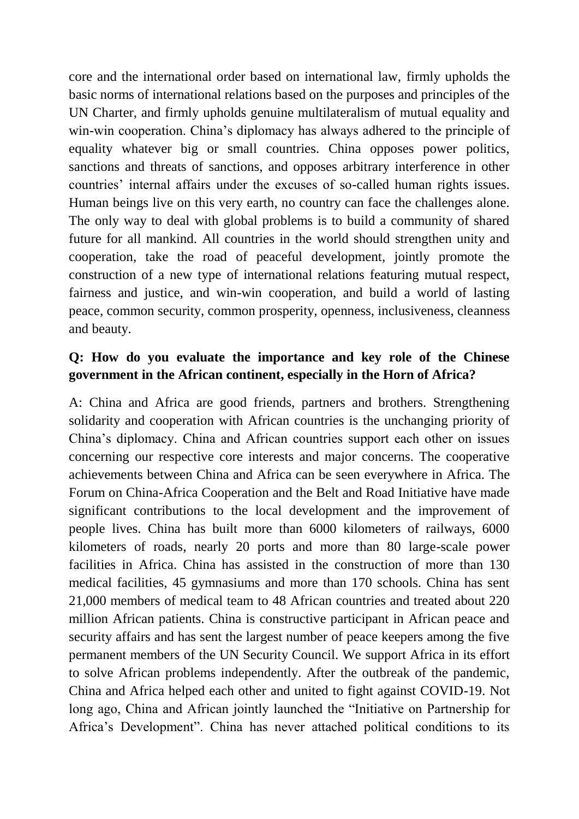core and the international order based on international law, firmly upholds the basic norms of international relations based on the purposes and principles of the UN Charter, and firmly upholds genuine multilateralism of mutual equality and win-win cooperation. China's diplomacy has always adhered to the principle of equality whatever big or small countries. China opposes power politics, sanctions and threats of sanctions, and opposes arbitrary interference in other countries' internal affairs under the excuses of so-called human rights issues. Human beings live on this very earth, no country can face the challenges alone. The only way to deal with global problems is to build a community of shared future for all mankind. All countries in the world should strengthen unity and cooperation, take the road of peaceful development, jointly promote the construction of a new type of international relations featuring mutual respect, fairness and justice, and win-win cooperation, and build a world of lasting peace, common security, common prosperity, openness, inclusiveness, cleanness and beauty.

### **Q: How do you evaluate the importance and key role of the Chinese government in the African continent, especially in the Horn of Africa?**

A: China and Africa are good friends, partners and brothers. Strengthening solidarity and cooperation with African countries is the unchanging priority of China's diplomacy. China and African countries support each other on issues concerning our respective core interests and major concerns. The cooperative achievements between China and Africa can be seen everywhere in Africa. The Forum on China-Africa Cooperation and the Belt and Road Initiative have made significant contributions to the local development and the improvement of people lives. China has built more than 6000 kilometers of railways, 6000 kilometers of roads, nearly 20 ports and more than 80 large-scale power facilities in Africa. China has assisted in the construction of more than 130 medical facilities, 45 gymnasiums and more than 170 schools. China has sent 21,000 members of medical team to 48 African countries and treated about 220 million African patients. China is constructive participant in African peace and security affairs and has sent the largest number of peace keepers among the five permanent members of the UN Security Council. We support Africa in its effort to solve African problems independently. After the outbreak of the pandemic, China and Africa helped each other and united to fight against COVID-19. Not long ago, China and African jointly launched the "Initiative on Partnership for Africa's Development". China has never attached political conditions to its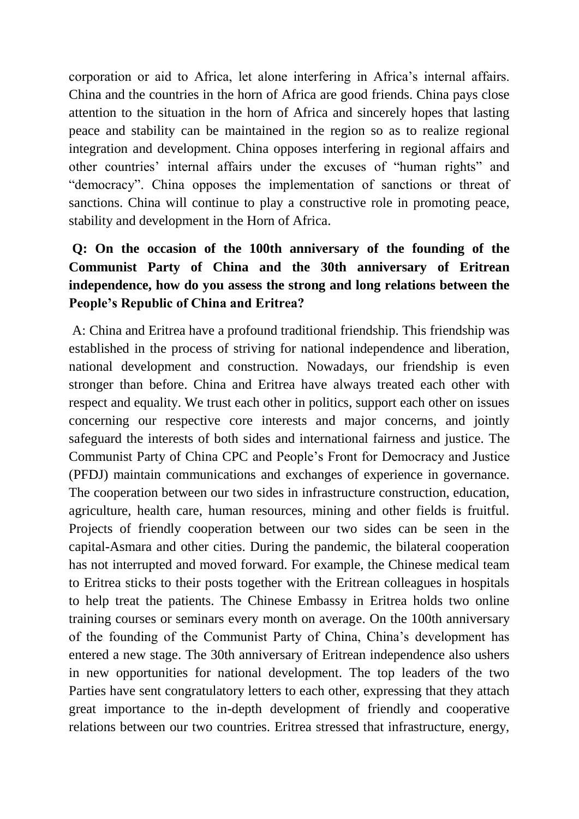corporation or aid to Africa, let alone interfering in Africa's internal affairs. China and the countries in the horn of Africa are good friends. China pays close attention to the situation in the horn of Africa and sincerely hopes that lasting peace and stability can be maintained in the region so as to realize regional integration and development. China opposes interfering in regional affairs and other countries' internal affairs under the excuses of "human rights" and "democracy". China opposes the implementation of sanctions or threat of sanctions. China will continue to play a constructive role in promoting peace, stability and development in the Horn of Africa.

# **Q: On the occasion of the 100th anniversary of the founding of the Communist Party of China and the 30th anniversary of Eritrean independence, how do you assess the strong and long relations between the People's Republic of China and Eritrea?**

A: China and Eritrea have a profound traditional friendship. This friendship was established in the process of striving for national independence and liberation, national development and construction. Nowadays, our friendship is even stronger than before. China and Eritrea have always treated each other with respect and equality. We trust each other in politics, support each other on issues concerning our respective core interests and major concerns, and jointly safeguard the interests of both sides and international fairness and justice. The Communist Party of China CPC and People's Front for Democracy and Justice (PFDJ) maintain communications and exchanges of experience in governance. The cooperation between our two sides in infrastructure construction, education, agriculture, health care, human resources, mining and other fields is fruitful. Projects of friendly cooperation between our two sides can be seen in the capital-Asmara and other cities. During the pandemic, the bilateral cooperation has not interrupted and moved forward. For example, the Chinese medical team to Eritrea sticks to their posts together with the Eritrean colleagues in hospitals to help treat the patients. The Chinese Embassy in Eritrea holds two online training courses or seminars every month on average. On the 100th anniversary of the founding of the Communist Party of China, China's development has entered a new stage. The 30th anniversary of Eritrean independence also ushers in new opportunities for national development. The top leaders of the two Parties have sent congratulatory letters to each other, expressing that they attach great importance to the in-depth development of friendly and cooperative relations between our two countries. Eritrea stressed that infrastructure, energy,